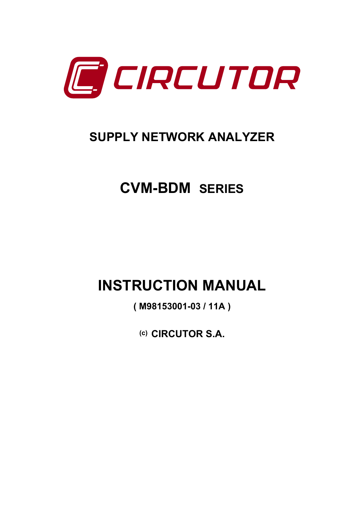

# **SUPPLY NETWORK ANALYZER**

# **CVM-BDM SERIES**

# **INSTRUCTION MANUAL**

**( M98153001-03 / 11A )** 

**(c) CIRCUTOR S.A.**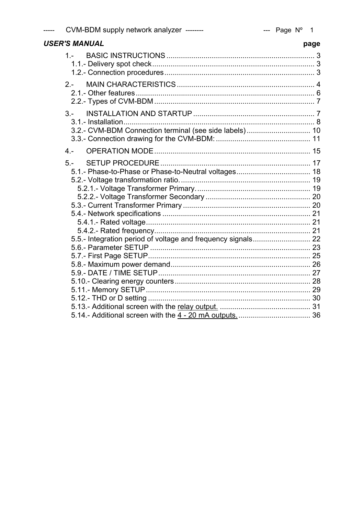| ----- | CVM-BDM supply network analyzer -------- |  |  |
|-------|------------------------------------------|--|--|
|-------|------------------------------------------|--|--|

| <b>USER'S MANUAL</b>                                            | page |
|-----------------------------------------------------------------|------|
| $1 -$                                                           |      |
| $2 -$                                                           |      |
| $3 -$<br>3.2.- CVM-BDM Connection terminal (see side labels) 10 |      |
| $4 -$                                                           |      |
| $5 -$                                                           |      |
|                                                                 |      |
|                                                                 |      |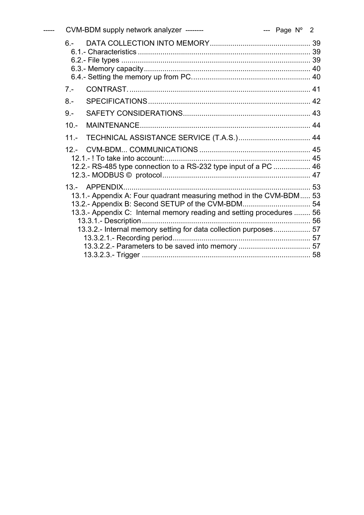|  |        | CVM-BDM supply network analyzer --------<br>$---$ Page $N^{\circ}$ 2                                                                                                                                                                                                  |  |  |
|--|--------|-----------------------------------------------------------------------------------------------------------------------------------------------------------------------------------------------------------------------------------------------------------------------|--|--|
|  | $6 -$  |                                                                                                                                                                                                                                                                       |  |  |
|  | $7 -$  |                                                                                                                                                                                                                                                                       |  |  |
|  | $8 -$  |                                                                                                                                                                                                                                                                       |  |  |
|  | $9 -$  |                                                                                                                                                                                                                                                                       |  |  |
|  | $10 -$ |                                                                                                                                                                                                                                                                       |  |  |
|  | $11 -$ |                                                                                                                                                                                                                                                                       |  |  |
|  |        | 12.2.- RS-485 type connection to a RS-232 type input of a PC  46                                                                                                                                                                                                      |  |  |
|  |        | 13.1.- Appendix A: Four quadrant measuring method in the CVM-BDM 53<br>13.2.- Appendix B: Second SETUP of the CVM-BDM 54<br>13.3.- Appendix C: Internal memory reading and setting procedures  56<br>13.3.2.- Internal memory setting for data collection purposes 57 |  |  |
|  |        |                                                                                                                                                                                                                                                                       |  |  |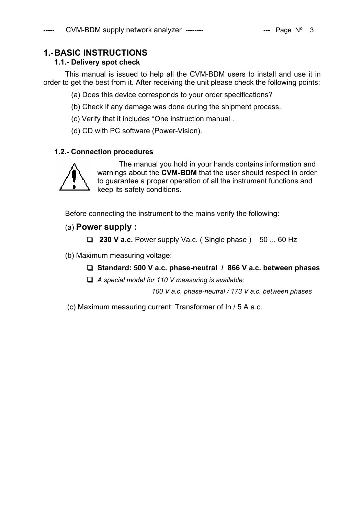# **1.- BASIC INSTRUCTIONS**

# **1.1.- Delivery spot check**

This manual is issued to help all the CVM-BDM users to install and use it in order to get the best from it. After receiving the unit please check the following points:

- (a) Does this device corresponds to your order specifications?
- (b) Check if any damage was done during the shipment process.
- (c) Verify that it includes \*One instruction manual .
- (d) CD with PC software (Power-Vision).

# **1.2.- Connection procedures**



The manual you hold in your hands contains information and warnings about the **CVM-BDM** that the user should respect in order to guarantee a proper operation of all the instrument functions and keep its safety conditions.

Before connecting the instrument to the mains verify the following:

# (a) **Power supply :**

 $\Box$  **230 V a.c.** Power supply Va.c. (Single phase ) 50 ... 60 Hz

(b) Maximum measuring voltage:

#### **Standard: 500 V a.c. phase-neutral / 866 V a.c. between phases**

*A special model for 110 V measuring is available:* 

 *100 V a.c. phase-neutral / 173 V a.c. between phases* 

(c) Maximum measuring current: Transformer of In / 5 A a.c.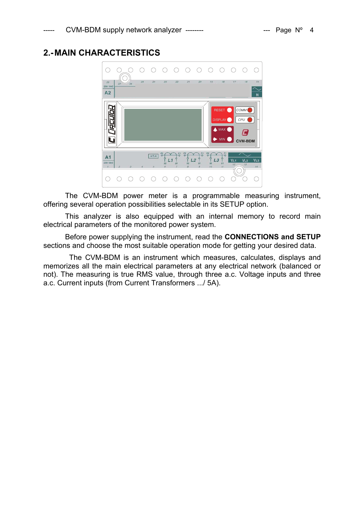# **2.- MAIN CHARACTERISTICS**



The CVM-BDM power meter is a programmable measuring instrument, offering several operation possibilities selectable in its SETUP option.

This analyzer is also equipped with an internal memory to record main electrical parameters of the monitored power system.

Before power supplying the instrument, read the **CONNECTIONS and SETUP**  sections and choose the most suitable operation mode for getting your desired data.

 The CVM-BDM is an instrument which measures, calculates, displays and memorizes all the main electrical parameters at any electrical network (balanced or not). The measuring is true RMS value, through three a.c. Voltage inputs and three a.c. Current inputs (from Current Transformers .../ 5A).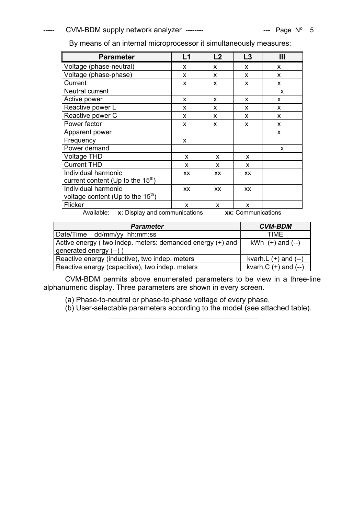| <b>Parameter</b>                    | L1        | L2        | L3           | Ш |
|-------------------------------------|-----------|-----------|--------------|---|
| Voltage (phase-neutral)             | X         | X         | X            | X |
| Voltage (phase-phase)               | X         | X         | X            | X |
| Current                             | x         | X         | X            | X |
| Neutral current                     |           |           |              | X |
| Active power                        | X         | X         | X            | X |
| Reactive power L                    | x         | x         | x            | X |
| Reactive power C                    | x         | X         | X            | X |
| Power factor                        | x         | X         | X            | X |
| Apparent power                      |           |           |              | X |
| Frequency                           | X         |           |              |   |
| Power demand                        |           |           |              | X |
| <b>Voltage THD</b>                  | x         | X         | X            |   |
| <b>Current THD</b>                  | X         | X         | $\mathsf{x}$ |   |
| Individual harmonic                 | XX        | <b>XX</b> | <b>XX</b>    |   |
| current content (Up to the $15th$ ) |           |           |              |   |
| Individual harmonic                 | <b>XX</b> | <b>XX</b> | <b>XX</b>    |   |
| voltage content (Up to the $15th$ ) |           |           |              |   |
| Flicker                             | X         | X         | X            |   |

Available: **x:** Display and communications **xx:** Communications

| <b>Parameter</b>                                                                                   | <b>CVM-BDM</b>           |
|----------------------------------------------------------------------------------------------------|--------------------------|
| Date/Time dd/mm/yy hh:mm:ss                                                                        | TIME                     |
| Active energy ( two indep. meters: demanded energy $(+)$ and $\parallel$<br>generated energy (--)) | kWh $(+)$ and $(-)$      |
| Reactive energy (inductive), two indep. meters                                                     | kvarh.L $(+)$ and $(-)$  |
| Reactive energy (capacitive), two indep. meters                                                    | kvarh. $C (+)$ and $(-)$ |

CVM-BDM permits above enumerated parameters to be view in a three-line alphanumeric display. Three parameters are shown in every screen.

(a) Phase-to-neutral or phase-to-phase voltage of every phase.

(b) User-selectable parameters according to the model (see attached table).

---------------------------------------------------------------------------------------------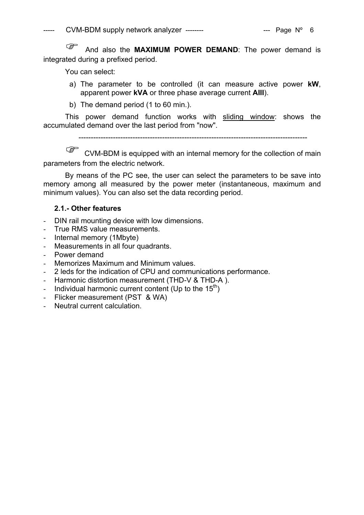<sup> $C_{\text{max}}$ </sup> And also the **MAXIMUM POWER DEMAND**: The power demand is integrated during a prefixed period.

You can select:

- a) The parameter to be controlled (it can measure active power **kW**, apparent power **kVA** or three phase average current **AIII**).
- b) The demand period (1 to 60 min.).

This power demand function works with sliding window: shows the accumulated demand over the last period from "now".

---------------------------------------------------------------------------------------------

CVM-BDM is equipped with an internal memory for the collection of main parameters from the electric network.

By means of the PC see, the user can select the parameters to be save into memory among all measured by the power meter (instantaneous, maximum and minimum values). You can also set the data recording period.

# **2.1.- Other features**

- DIN rail mounting device with low dimensions.
- True RMS value measurements.
- Internal memory (1Mbyte)
- Measurements in all four quadrants.
- Power demand
- Memorizes Maximum and Minimum values.
- 2 leds for the indication of CPU and communications performance.
- Harmonic distortion measurement (THD-V & THD-A ).
- Individual harmonic current content (Up to the  $15<sup>th</sup>$ )
- Flicker measurement (PST & WA)
- Neutral current calculation.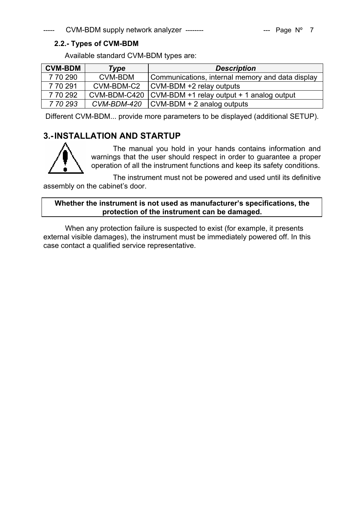# **2.2.- Types of CVM-BDM**

Available standard CVM-BDM types are:

| <b>CVM-BDM</b> | <b>Type</b> | <b>Description</b>                                       |
|----------------|-------------|----------------------------------------------------------|
| 7 70 290       | CVM-BDM     | Communications, internal memory and data display         |
| 7 70 291       | CVM-BDM-C2  | CVM-BDM +2 relay outputs                                 |
| 7 70 292       |             | CVM-BDM-C420   CVM-BDM +1 relay output + 1 analog output |
| 7 70 293       | CVM-BDM-420 | $\textsf{CVM-BDM}$ + 2 analog outputs                    |

Different CVM-BDM... provide more parameters to be displayed (additional SETUP).

# **3.- INSTALLATION AND STARTUP**



The manual you hold in your hands contains information and warnings that the user should respect in order to guarantee a proper operation of all the instrument functions and keep its safety conditions.

The instrument must not be powered and used until its definitive assembly on the cabinet's door.

# **Whether the instrument is not used as manufacturer's specifications, the protection of the instrument can be damaged.**

When any protection failure is suspected to exist (for example, it presents external visible damages), the instrument must be immediately powered off. In this case contact a qualified service representative.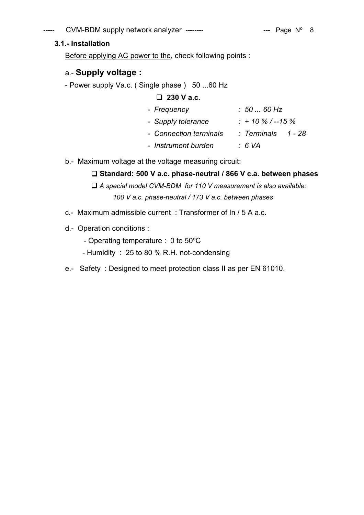# $CVM-BDM$  supply network analyzer --------  $\qquad \qquad \text{---}$  Page N° 8

# **3.1.- Installation**

Before applying AC power to the, check following points :

# a.- **Supply voltage :**

- Power supply Va.c. (Single phase) 50 ...60 Hz

# **230 V a.c.**

| - Frequency            | . 50  60 Hz        |
|------------------------|--------------------|
| - Supply tolerance     | $: +10\%$ / --15 % |
| - Connection terminals | : Terminals 1 - 28 |
| - Instrument burden    | ∴ 6 VA             |

b.- Maximum voltage at the voltage measuring circuit:

# **Standard: 500 V a.c. phase-neutral / 866 V c.a. between phases**

 *A special model CVM-BDM for 110 V measurement is also available: 100 V a.c. phase-neutral / 173 V a.c. between phases* 

- c.- Maximum admissible current : Transformer of In / 5 A a.c.
- d.- Operation conditions :
	- Operating temperature : 0 to 50ºC
	- Humidity : 25 to 80 % R.H. not-condensing
- e.- Safety : Designed to meet protection class II as per EN 61010.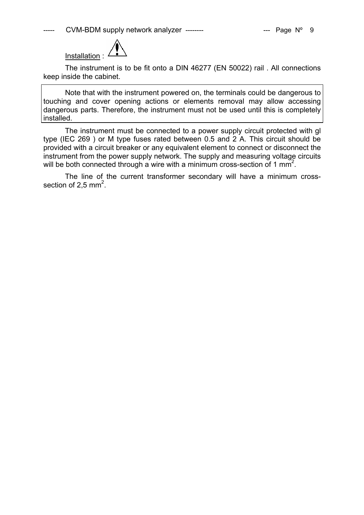

The instrument is to be fit onto a DIN 46277 (EN 50022) rail . All connections keep inside the cabinet.

Note that with the instrument powered on, the terminals could be dangerous to touching and cover opening actions or elements removal may allow accessing dangerous parts. Therefore, the instrument must not be used until this is completely installed.

The instrument must be connected to a power supply circuit protected with gl type (IEC 269 ) or M type fuses rated between 0.5 and 2 A. This circuit should be provided with a circuit breaker or any equivalent element to connect or disconnect the instrument from the power supply network. The supply and measuring voltage circuits will be both connected through a wire with a minimum cross-section of 1 mm<sup>2</sup>.

The line of the current transformer secondary will have a minimum crosssection of 2,5 mm<sup>2</sup>.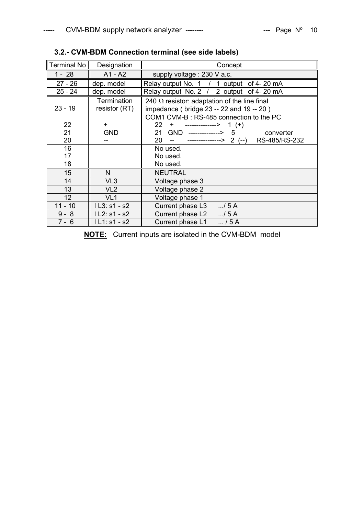| Terminal No | Designation                  | Concept                                                                                         |
|-------------|------------------------------|-------------------------------------------------------------------------------------------------|
| $1 - 28$    | $A1 - A2$                    | supply voltage : 230 V a.c.                                                                     |
| $27 - 26$   | dep. model                   | Relay output No. 1 / 1 output of 4-20 mA                                                        |
| $25 - 24$   | dep. model                   | Relay output No. 2 / 2 output of 4-20 mA                                                        |
| $23 - 19$   | Termination<br>resistor (RT) | 240 $\Omega$ resistor: adaptation of the line final<br>impedance (bridge 23 -- 22 and 19 -- 20) |
|             |                              | COM1 CVM-B : RS-485 connection to the PC                                                        |
| 22          | $\ddot{}$                    | $22 +$<br>$---------> 1 (+)$                                                                    |
| 21          | <b>GND</b>                   | 21 GND --------------> 5<br>converter                                                           |
| 20          |                              | $20 - 2$<br>RS-485/RS-232                                                                       |
| 16          |                              | No used.                                                                                        |
| 17          |                              | No used.                                                                                        |
| 18          |                              | No used.                                                                                        |
| 15          | N.                           | <b>NEUTRAL</b>                                                                                  |
| 14          | VL <sub>3</sub>              | Voltage phase 3                                                                                 |
| 13          | VL <sub>2</sub>              | Voltage phase 2                                                                                 |
| 12          | VL <sub>1</sub>              | Voltage phase 1                                                                                 |
| $11 - 10$   | $1L3: s1 - s2$               | Current phase L3 / 5 A                                                                          |
| $9 - 8$     | I L2: s1 - s2                | Current phase L2 / 5 A                                                                          |
| 7 - 6       | $IL1: s1 - s2$               | Current phase L1<br>$\dots/5A$                                                                  |

# **3.2.- CVM-BDM Connection terminal (see side labels)**

**NOTE:** Current inputs are isolated in the CVM-BDM model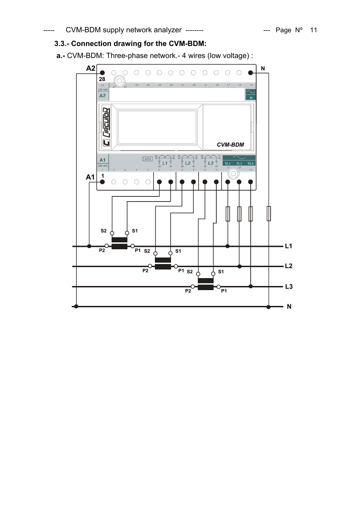# **3.3.- Connection drawing for the CVM-BDM:**

**a.-** CVM-BDM: Three-phase network.- 4 wires (low voltage) :

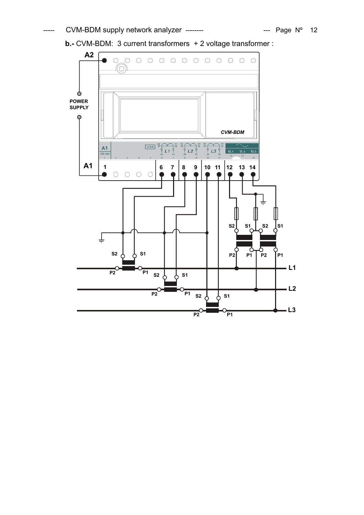**b.-** CVM-BDM: 3 current transformers + 2 voltage transformer :

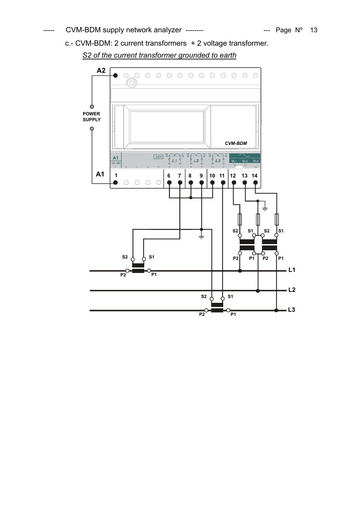c.- CVM-BDM: 2 current transformers + 2 voltage transformer.

*S2 of the current transformer grounded to earth*

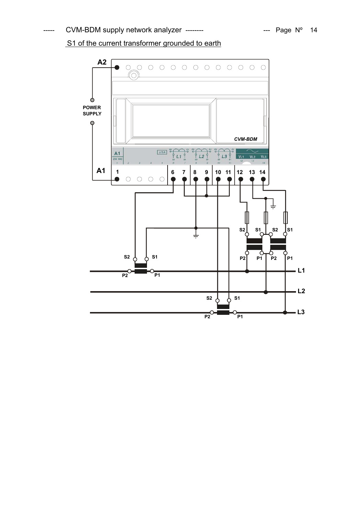# S1 of the current transformer grounded to earth

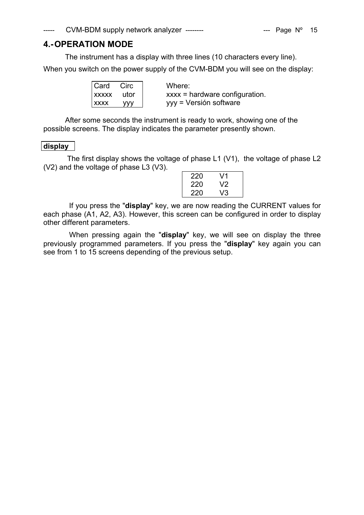# **4.- OPERATION MODE**

The instrument has a display with three lines (10 characters every line).

When you switch on the power supply of the CVM-BDM you will see on the display:

| Card        | Circ | Where:                           |
|-------------|------|----------------------------------|
| XXXXX       | utor | $xxxx =$ hardware configuration. |
| <b>XXXX</b> | yyy  | yyy = Versión software           |

After some seconds the instrument is ready to work, showing one of the possible screens. The display indicates the parameter presently shown.

# **display**

The first display shows the voltage of phase L1 (V1), the voltage of phase L2 (V2) and the voltage of phase L3 (V3).

| 220 | V1 |
|-----|----|
| 220 | V2 |
| 220 | V3 |

 If you press the "**display**" key, we are now reading the CURRENT values for each phase (A1, A2, A3). However, this screen can be configured in order to display other different parameters.

 When pressing again the "**display**" key, we will see on display the three previously programmed parameters. If you press the "**display**" key again you can see from 1 to 15 screens depending of the previous setup.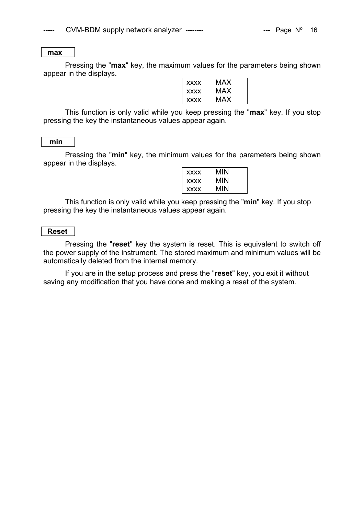#### **max**

Pressing the "**max**" key, the maximum values for the parameters being shown appear in the displays.

| <b>XXXX</b> | MAX |
|-------------|-----|
| <b>XXXX</b> | MAX |
| <b>XXXX</b> | MAX |

This function is only valid while you keep pressing the "**max**" key. If you stop pressing the key the instantaneous values appear again.

#### **min**

Pressing the "**min**" key, the minimum values for the parameters being shown appear in the displays.

| <b>XXXX</b> | MIN |
|-------------|-----|
| <b>XXXX</b> | MIN |
| <b>XXXX</b> | MIN |

This function is only valid while you keep pressing the "**min**" key. If you stop pressing the key the instantaneous values appear again.

# **Reset**

Pressing the "**reset**" key the system is reset. This is equivalent to switch off the power supply of the instrument. The stored maximum and minimum values will be automatically deleted from the internal memory.

If you are in the setup process and press the "**reset**" key, you exit it without saving any modification that you have done and making a reset of the system.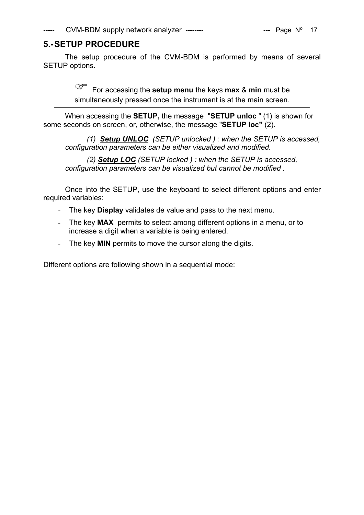# **5.- SETUP PROCEDURE**

The setup procedure of the CVM-BDM is performed by means of several SETUP options.

> ) For accessing the **setup menu** the keys **max** & **min** must be simultaneously pressed once the instrument is at the main screen.

When accessing the **SETUP,** the message "**SETUP unloc** " (1) is shown for some seconds on screen, or, otherwise, the message "**SETUP loc"** (2).

*(1) Setup UNLOC (SETUP unlocked ) : when the SETUP is accessed, configuration parameters can be either visualized and modified.* 

*(2) Setup LOC (SETUP locked ) : when the SETUP is accessed, configuration parameters can be visualized but cannot be modified .* 

Once into the SETUP, use the keyboard to select different options and enter required variables:

- The key **Display** validates de value and pass to the next menu.
- The key **MAX** permits to select among different options in a menu, or to increase a digit when a variable is being entered.
- The key **MIN** permits to move the cursor along the digits.

Different options are following shown in a sequential mode: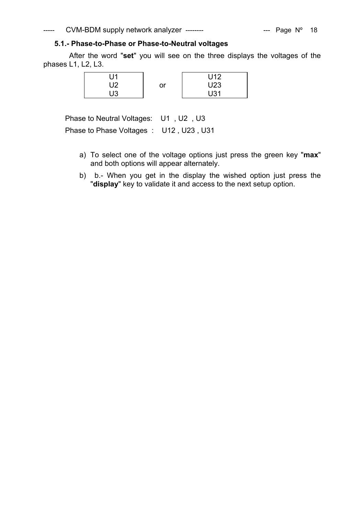# **5.1.- Phase-to-Phase or Phase-to-Neutral voltages**

 After the word "**set**" you will see on the three displays the voltages of the phases L1, L2, L3.

| 11ل |    | U12 |
|-----|----|-----|
| U2  | or | U23 |
| U3  |    | U31 |

Phase to Neutral Voltages: U1 , U2 , U3

Phase to Phase Voltages : U12 , U23 , U31

- a) To select one of the voltage options just press the green key "**max**" and both options will appear alternately.
- b) b.- When you get in the display the wished option just press the "**display**" key to validate it and access to the next setup option.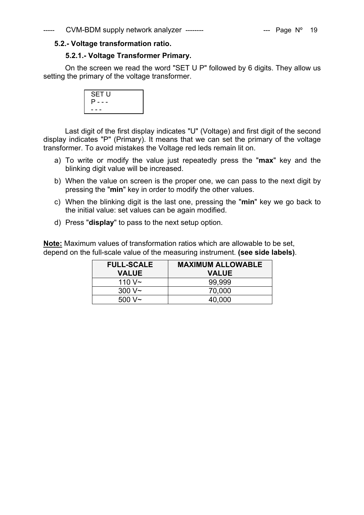# **5.2.- Voltage transformation ratio.**

# **5.2.1.- Voltage Transformer Primary.**

On the screen we read the word "SET U P" followed by 6 digits. They allow us setting the primary of the voltage transformer.



Last digit of the first display indicates "U" (Voltage) and first digit of the second display indicates "P" (Primary). It means that we can set the primary of the voltage transformer. To avoid mistakes the Voltage red leds remain lit on.

- a) To write or modify the value just repeatedly press the "**max**" key and the blinking digit value will be increased.
- b) When the value on screen is the proper one, we can pass to the next digit by pressing the "**min**" key in order to modify the other values.
- c) When the blinking digit is the last one, pressing the "**min**" key we go back to the initial value: set values can be again modified.
- d) Press "**display**" to pass to the next setup option.

**Note:** Maximum values of transformation ratios which are allowable to be set, depend on the full-scale value of the measuring instrument. **(see side labels)**.

| <b>FULL-SCALE</b> | <b>MAXIMUM ALLOWABLE</b> |
|-------------------|--------------------------|
| <b>VALUE</b>      | <b>VALUE</b>             |
| 110 $V_{\sim}$    | 99.999                   |
| 300 V~            | 70,000                   |
| $500 \text{ V}$ ~ | 40,000                   |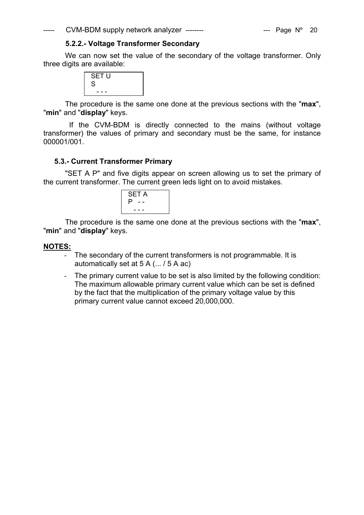---- CVM-BDM supply network analyzer -------- The CVM-BDM supply network analyzer --------

## **5.2.2.- Voltage Transformer Secondary**

We can now set the value of the secondary of the voltage transformer. Only three digits are available:

| SET U<br>S |  |
|------------|--|
| - - -      |  |

The procedure is the same one done at the previous sections with the "**max**", "**min**" and "**display**" keys.

 If the CVM-BDM is directly connected to the mains (without voltage transformer) the values of primary and secondary must be the same, for instance 000001/001.

# **5.3.- Current Transformer Primary**

"SET A P" and five digits appear on screen allowing us to set the primary of the current transformer. The current green leds light on to avoid mistakes.



The procedure is the same one done at the previous sections with the "**max**", "**min**" and "**display**" keys.

# **NOTES:**

- The secondary of the current transformers is not programmable. It is automatically set at 5 A (... / 5 A ac)
- The primary current value to be set is also limited by the following condition: The maximum allowable primary current value which can be set is defined by the fact that the multiplication of the primary voltage value by this primary current value cannot exceed 20,000,000.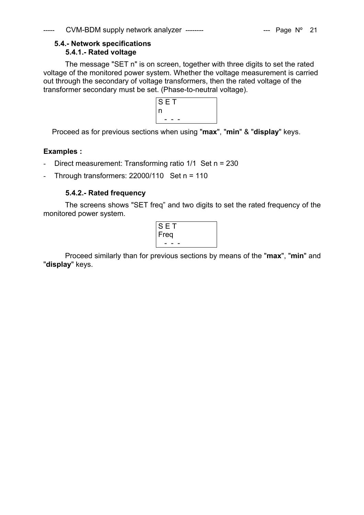# **5.4.- Network specifications 5.4.1.- Rated voltage**

The message "SET n" is on screen, together with three digits to set the rated voltage of the monitored power system. Whether the voltage measurement is carried out through the secondary of voltage transformers, then the rated voltage of the transformer secondary must be set. (Phase-to-neutral voltage).



Proceed as for previous sections when using "**max**", "**min**" & "**display**" keys.

# **Examples :**

- Direct measurement: Transforming ratio 1/1 Set n = 230
- Through transformers:  $22000/110$  Set n = 110

# **5.4.2.- Rated frequency**

The screens shows "SET freq" and two digits to set the rated frequency of the monitored power system.

| н,   |  |
|------|--|
| Freq |  |
|      |  |

Proceed similarly than for previous sections by means of the "**max**", "**min**" and "**display**" keys.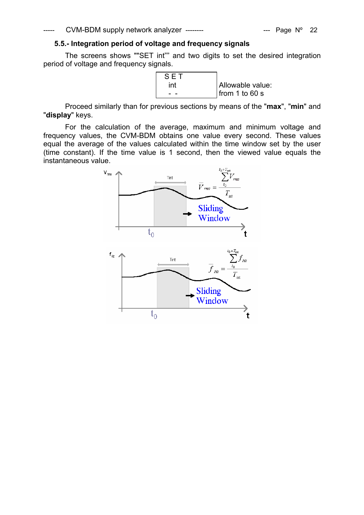# **5.5.- Integration period of voltage and frequency signals**

The screens shows ""SET int"" and two digits to set the desired integration period of voltage and frequency signals.

> S E T int Allowable value:  $\frac{1}{2}$  from 1 to 60 s

Proceed similarly than for previous sections by means of the "**max**", "**min**" and "**display**" keys.

For the calculation of the average, maximum and minimum voltage and frequency values, the CVM-BDM obtains one value every second. These values equal the average of the values calculated within the time window set by the user (time constant). If the time value is 1 second, then the viewed value equals the instantaneous value.

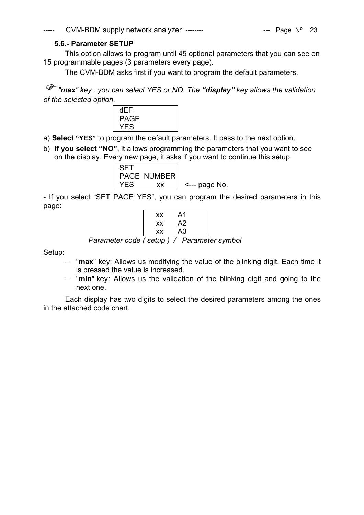# **5.6.- Parameter SETUP**

This option allows to program until 45 optional parameters that you can see on 15 programmable pages (3 parameters every page).

The CVM-BDM asks first if you want to program the default parameters.

) *"max" key : you can select YES or NO. The "display" key allows the validation of the selected option.* 



a) **Select "YES"** to program the default parameters. It pass to the next option.

b) **If you select "NO"**, it allows programming the parameters that you want to see on the display. Every new page, it asks if you want to continue this setup .



- If you select "SET PAGE YES", you can program the desired parameters in this page:

| ХX | A1 |  |
|----|----|--|
| ХX | A2 |  |
| ХX | A3 |  |

*Parameter code ( setup ) / Parameter symbol* 

Setup:

- − "**max**" key: Allows us modifying the value of the blinking digit. Each time it is pressed the value is increased.
- − "**min**" key : Allows us the validation of the blinking digit and going to the next one.

Each display has two digits to select the desired parameters among the ones in the attached code chart.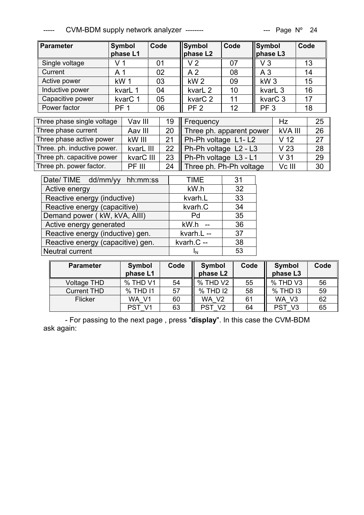$CVM-BDM$  supply network analyzer --------  $\qquad \qquad \qquad$  --- Page N° 24

| <b>Parameter</b>                  | Code<br>Symbol<br>phase L1 |           |      | Code<br><b>Symbol</b><br>phase L2 |                       | Symbol<br>phase L3       |                 | Code                |         |    |
|-----------------------------------|----------------------------|-----------|------|-----------------------------------|-----------------------|--------------------------|-----------------|---------------------|---------|----|
| Single voltage                    | V <sub>1</sub>             |           | 01   |                                   | V <sub>2</sub>        | 07                       | V3              |                     | 13      |    |
| Current                           | A <sub>1</sub>             |           | 02   |                                   | A <sub>2</sub>        | 08                       | A <sub>3</sub>  |                     |         | 14 |
| Active power                      | kW1                        |           | 03   |                                   | kW <sub>2</sub>       | 09                       | kW <sub>3</sub> |                     | 15      |    |
| Inductive power                   |                            | kvarL 1   | 04   |                                   | kvarL <sub>2</sub>    | 10                       | kvarL 3         |                     | 16      |    |
| Capacitive power                  |                            | kvarC 1   | 05   |                                   | kvar <sub>C</sub> 2   | 11                       |                 | kvar <sub>C</sub> 3 | 17      |    |
| Power factor                      | PF <sub>1</sub>            |           | 06   |                                   | PF <sub>2</sub>       | 12                       | PF <sub>3</sub> |                     | 18      |    |
| Three phase single voltage        |                            | Vav III   |      | 19                                | Frequency             |                          |                 |                     |         | 25 |
| Three phase current               |                            | Aav III   |      | 20                                |                       | Three ph. apparent power |                 |                     | kVA III | 26 |
| Three phase active power          |                            | kW III    |      | 21                                |                       | Ph-Ph voltage L1-L2      |                 |                     |         | 27 |
| Three. ph. inductive power.       |                            | kvarL III |      | 22                                | Ph-Ph voltage L2 - L3 |                          |                 | V <sub>23</sub>     |         | 28 |
| Three ph. capacitive power        |                            | kvarC III |      | 23                                |                       | Ph-Ph voltage L3 - L1    |                 | V <sub>31</sub>     |         | 29 |
| Three ph. power factor.           |                            | PF III    |      | 24                                |                       | Three ph. Ph-Ph voltage  |                 | Vc III              |         | 30 |
| Date/TIME<br>dd/mm/yy<br>hh:mm:ss |                            |           | TIME | 31                                |                       |                          |                 |                     |         |    |
| Active energy                     |                            |           | kW.h | 32                                |                       |                          |                 |                     |         |    |
| Reactive energy (inductive)       |                            |           |      | kvarh.L                           | 33                    |                          |                 |                     |         |    |
| Reactive energy (capacitive)      |                            |           |      | kvarh.C                           | 34                    |                          |                 |                     |         |    |
| Demand power (KW, kVA, AIII)      |                            |           | Pd   | 35                                |                       |                          |                 |                     |         |    |
| Active energy generated           |                            |           |      | kW.h                              | 36                    |                          |                 |                     |         |    |

|                                                                           | PST V1 | 63    PST_V2   64    PST_V3 |  | 65 |
|---------------------------------------------------------------------------|--------|-----------------------------|--|----|
| - For passing to the next page, press "display". In this case the CVM-BDM |        |                             |  |    |
| ask again:                                                                |        |                             |  |    |

**Code Symbol** 

Voltage THD  $\begin{array}{|c|c|c|c|c|c|}\hline \text{Voltage THD} & \text{\textdegree{\char'13em}N} & \text{54} & \text{\textdegree{\char'13em}N} & \text{55} & \text{\textdegree{\char'13em}N} & \text{56} & \text{56} & \text{56} & \text{56} \\ \hline \end{array}$ Current THD % THD I1 57 % THD I2 58 % THD I3 59 Flicker WA\_V1 60 WA\_V2 61 WA\_V3 62

**phase L2** 

Code Symbol

**phase L3** 

**Code** 

Reactive energy (inductive) gen. <br>kvarh.L -- 37 Reactive energy (capacitive) gen. kvarh.C -- 38 Neutral current  $I_N$   $I_N$   $\begin{vmatrix} 53 \end{vmatrix}$ 

**phase L1** 

Parameter | Symbol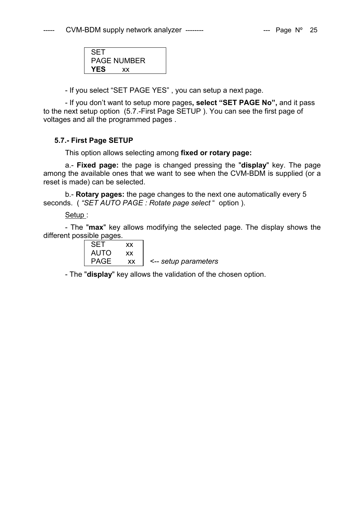| <b>SET</b>  |  |
|-------------|--|
| PAGE NUMBER |  |
| YES<br>XX   |  |

- If you select "SET PAGE YES" , you can setup a next page.

- If you don't want to setup more pages**, select "SET PAGE No",** and it pass to the next setup option (5.7.-First Page SETUP ). You can see the first page of voltages and all the programmed pages .

# **5.7.- First Page SETUP**

This option allows selecting among **fixed or rotary page:** 

a.- **Fixed page:** the page is changed pressing the "**display**" key. The page among the available ones that we want to see when the CVM-BDM is supplied (or a reset is made) can be selected.

b.- **Rotary pages:** the page changes to the next one automatically every 5 seconds. ( *"SET AUTO PAGE : Rotate page select* " option ).

#### Setup :

- The "**max**" key allows modifying the selected page. The display shows the different possible pages.

| <b>SET</b>  | xх |                      |
|-------------|----|----------------------|
| <b>AUTO</b> | xх |                      |
| PAGE        | XХ | <-- setup parameters |

- The "**display**" key allows the validation of the chosen option.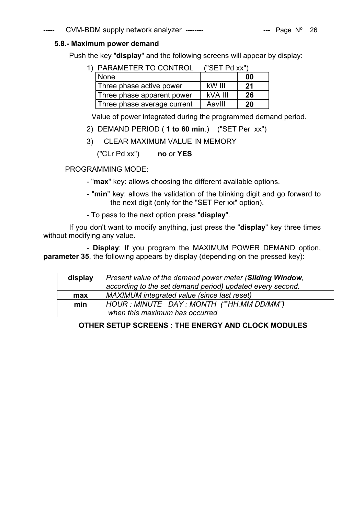# ----- CVM-BDM supply network analyzer -------- - ------ - --- Page N° 26

# **5.8.- Maximum power demand**

Push the key "**display**" and the following screens will appear by display:

1) PARAMETER TO CONTROL ("SET Pd xx")

|                             | ------  |    |
|-----------------------------|---------|----|
| None                        |         | 00 |
| Three phase active power    | kW III  | 21 |
| Three phase apparent power  | kVA III | 26 |
| Three phase average current | AavIII  | 20 |

Value of power integrated during the programmed demand period.

- 2) DEMAND PERIOD ( **1 to 60 min**.) ("SET Per xx")
- 3) CLEAR MAXIMUM VALUE IN MEMORY

("CLr Pd xx") **no** or **YES**

# PROGRAMMING MODE:

- "**max**" key: allows choosing the different available options.
- "**min**" key: allows the validation of the blinking digit and go forward to the next digit (only for the "SET Per xx" option).
- To pass to the next option press "**display**".

 If you don't want to modify anything, just press the "**display**" key three times without modifying any value.

 - **Display**: If you program the MAXIMUM POWER DEMAND option, **parameter 35**, the following appears by display (depending on the pressed key):

| display | Present value of the demand power meter (Sliding Window,  |
|---------|-----------------------------------------------------------|
|         | according to the set demand period) updated every second. |
| max     | MAXIMUM integrated value (since last reset)               |
| min     | HOUR : MINUTE DAY : MONTH (""HH.MM DD/MM")                |
|         | when this maximum has occurred                            |

# **OTHER SETUP SCREENS : THE ENERGY AND CLOCK MODULES**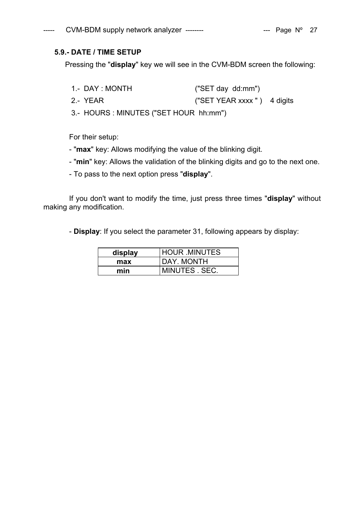# **5.9.- DATE / TIME SETUP**

Pressing the "**display**" key we will see in the CVM-BDM screen the following:

- 1.- DAY : MONTH ("SET day dd:mm")
- 2.- YEAR ("SET YEAR xxxx " ) 4 digits

3.- HOURS : MINUTES ("SET HOUR hh:mm")

For their setup:

- "**max**" key: Allows modifying the value of the blinking digit.
- "**min**" key: Allows the validation of the blinking digits and go to the next one.
- To pass to the next option press "**display**".

 If you don't want to modify the time, just press three times "**display**" without making any modification.

- **Display**: If you select the parameter 31, following appears by display:

| display | <b>HOUR MINUTES</b> |  |
|---------|---------------------|--|
| max     | DAY. MONTH          |  |
| min     | MINUTES SEC.        |  |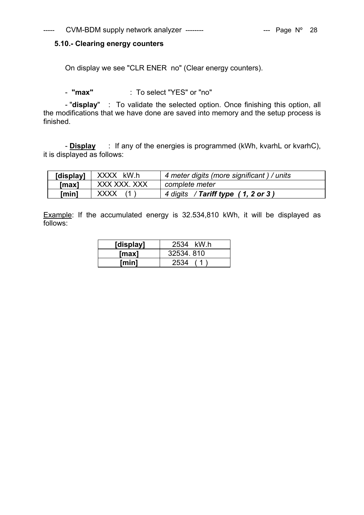# **5.10.- Clearing energy counters**

On display we see "CLR ENER no" (Clear energy counters).

- **"max"** : To select "YES" or "no"

- "**display**" : To validate the selected option. Once finishing this option, all the modifications that we have done are saved into memory and the setup process is finished.

- **Display** : If any of the energies is programmed (kWh, kvarhL or kvarhC), it is displayed as follows:

| [display] | XXXX kW.h    | 4 meter digits (more significant) / units |  |
|-----------|--------------|-------------------------------------------|--|
| [max]     | XXX XXX. XXX | complete meter                            |  |
| [min]     | <b>XXXX</b>  | 4 digits / Tariff type (1, 2 or 3)        |  |

Example: If the accumulated energy is 32.534,810 kWh, it will be displayed as follows:

| [display]    | 2534 kW.h  |
|--------------|------------|
| [max]        | 32534, 810 |
| <b>Imin1</b> | 2534       |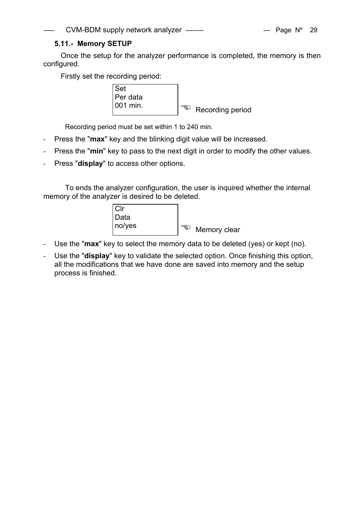# **5.11.- Memory SETUP**

Once the setup for the analyzer performance is completed, the memory is then configured.

Firstly set the recording period:



Recording period must be set within 1 to 240 min.

- Press the "**max**" key and the blinking digit value will be increased.
- Press the "**min**" key to pass to the next digit in order to modify the other values.
- Press "**display**" to access other options.

To ends the analyzer configuration, the user is inquired whether the internal memory of the analyzer is desired to be deleted.

| $ C $ r |                       |
|---------|-----------------------|
| Data    |                       |
| no/yes  | ెళ్లు<br>Memory clear |

- Use the "**max**" key to select the memory data to be deleted (yes) or kept (no).
- Use the "**display**" key to validate the selected option. Once finishing this option, all the modifications that we have done are saved into memory and the setup process is finished.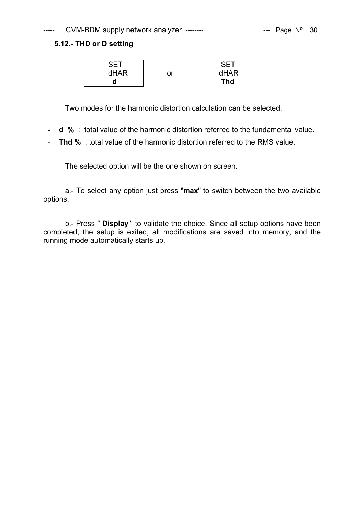# **5.12.- THD or D setting**



Two modes for the harmonic distortion calculation can be selected:

- **d %** : total value of the harmonic distortion referred to the fundamental value.
- **Thd %** : total value of the harmonic distortion referred to the RMS value.

The selected option will be the one shown on screen.

a.- To select any option just press "**max**" to switch between the two available options.

b.- Press " **Display** " to validate the choice. Since all setup options have been completed, the setup is exited, all modifications are saved into memory, and the running mode automatically starts up.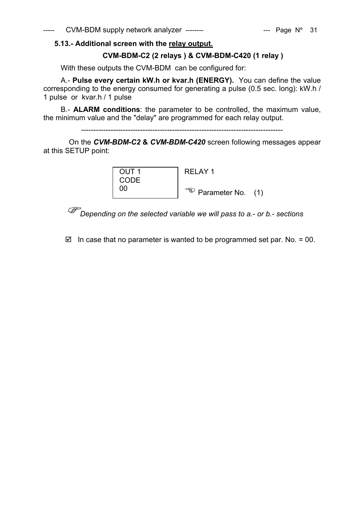# **5.13.- Additional screen with the relay output.**

# **CVM-BDM-C2 (2 relays ) & CVM-BDM-C420 (1 relay )**

With these outputs the CVM-BDM can be configured for:

A.- **Pulse every certain kW.h or kvar.h (ENERGY).** You can define the value corresponding to the energy consumed for generating a pulse (0.5 sec. long): kW.h / 1 pulse or kvar.h / 1 pulse

B.- **ALARM conditions**: the parameter to be controlled, the maximum value, the minimum value and the "delay" are programmed for each relay output.

----------------------------------------------------------------------------------

 On the *CVM-BDM-C2* **&** *CVM-BDM-C420* screen following messages appear at this SETUP point:



)*Depending on the selected variable we will pass to a.- or b.- sections* 

 $\boxtimes$  In case that no parameter is wanted to be programmed set par. No. = 00.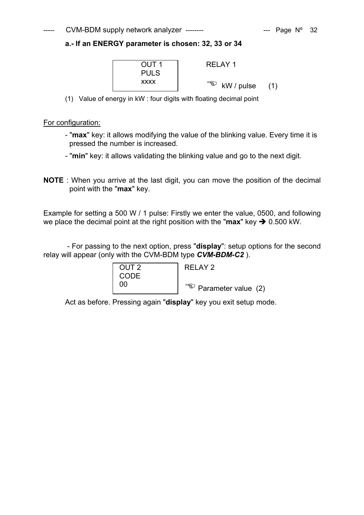#### $CVM-BDM$  supply network analyzer --------  $\qquad \qquad$  --- Page N° 32

# **a.- If an ENERGY parameter is chosen: 32, 33 or 34**



(1) Value of energy in kW : four digits with floating decimal point

#### For configuration:

- "**max**" key: it allows modifying the value of the blinking value. Every time it is pressed the number is increased.
- "**min**" key: it allows validating the blinking value and go to the next digit.
- **NOTE** : When you arrive at the last digit, you can move the position of the decimal point with the "**max**" key.

Example for setting a 500 W / 1 pulse: Firstly we enter the value, 0500, and following we place the decimal point at the right position with the " $max$ " key  $\rightarrow$  0.500 kW.

 - For passing to the next option, press "**display**": setup options for the second relay will appear (only with the CVM-BDM type *CVM-BDM-C2* ).

| OUT <sub>2</sub> | RELAY 2                        |
|------------------|--------------------------------|
| CODE             |                                |
| nn               | $\sqrt{a}$ Parameter value (2) |

Act as before. Pressing again "**display**" key you exit setup mode.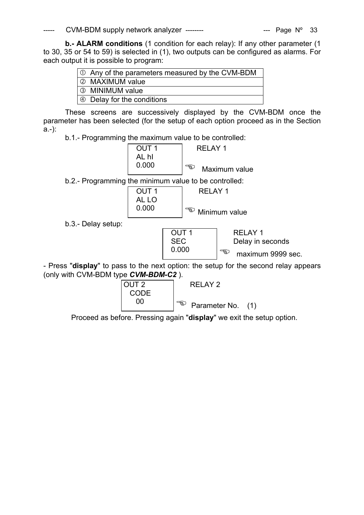$CVM-BDM$  supply network analyzer --------  $\qquad \qquad \qquad \text{---} \quad \text{Page } N^{\circ} \quad 33$ 

**b.- ALARM conditions** (1 condition for each relay): If any other parameter (1 to 30, 35 or 54 to 59) is selected in (1), two outputs can be configured as alarms. For each output it is possible to program:

| $\vert \circlearrowleft$ Any of the parameters measured by the CVM-BDM |
|------------------------------------------------------------------------|
| 2 MAXIMUM value                                                        |
| 3 MINIMUM value                                                        |
| $\Theta$ Delay for the conditions                                      |

These screens are successively displayed by the CVM-BDM once the parameter has been selected (for the setup of each option proceed as in the Section a.-):

b.1.- Programming the maximum value to be controlled:

|       | RFI AY 1            |
|-------|---------------------|
| AL hI |                     |
| 0.000 | තු<br>Maximum value |
|       |                     |

b.2.- Programming the minimum value to be controlled:

| OUT 1 | REI AY 1                        |
|-------|---------------------------------|
| AL LO |                                 |
| 0.000 | $\mathbb{R}$ .<br>Minimum value |

b.3.- Delay setup:



SEC | Delay in seconds  $0.000$   $\sqrt{\epsilon}$  maximum 9999 sec.

- Press "**display**" to pass to the next option: the setup for the second relay appears (only with CVM-BDM type *CVM-BDM-C2* ).



Proceed as before. Pressing again "**display**" we exit the setup option.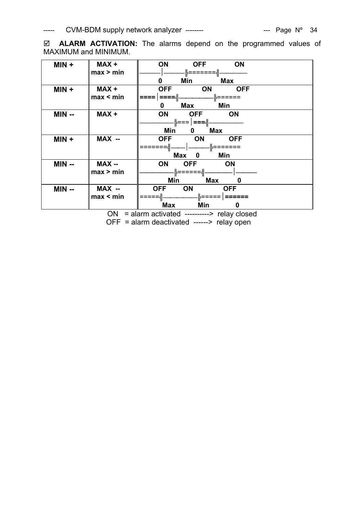; **ALARM ACTIVATION:** The alarms depend on the programmed values of MAXIMUM and MINIMUM.

| $MIN +$ | MAX+<br>max > min | <b>ON</b><br>ON<br><b>OFF</b><br>╠═══════╣            |
|---------|-------------------|-------------------------------------------------------|
|         |                   | 0<br>Min<br>Max                                       |
| $MIN +$ | MAX+<br>max < min | <b>ON</b><br><b>OFF</b><br><b>OFF</b><br>.∥======     |
|         |                   | Min<br>Max<br>0                                       |
| $MIN -$ | MAX+              | ON<br>OFF ON                                          |
|         |                   | .╠===  │ <b>===</b> ╣--<br>Min<br>Max<br>$\mathbf{0}$ |
| $MIN +$ | MAX --            | OFF ON<br><b>OFF</b>                                  |
|         |                   | .⊫=======‼.                                           |
|         |                   | Max 0<br>Min                                          |
| $MIN -$ | <b>MAX --</b>     | <b>ON</b><br>OFF ON                                   |
|         | max > min         | ·╠======╣-                                            |
|         |                   | <b>Max</b><br>Min<br>0                                |
| $MIN -$ | MAX --            | <b>ON</b><br><b>OFF</b><br><b>OFF</b>                 |
|         | max < min         | . ≟=====   ======                                     |
|         |                   | Max<br>Min<br>0                                       |

ON = alarm activated ----------> relay closed OFF = alarm deactivated ------> relay open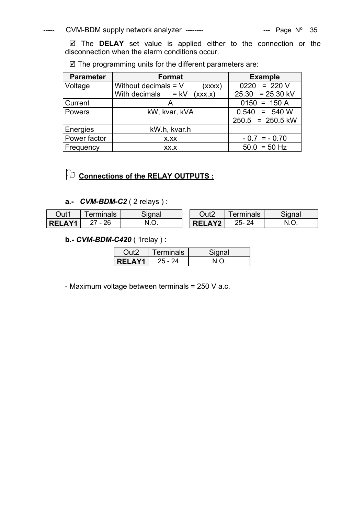# ----- CVM-BDM supply network analyzer -------- The CVM-BDM supply network analyzer --------

 $\boxtimes$  The **DELAY** set value is applied either to the connection or the disconnection when the alarm conditions occur.

| <b>Parameter</b> | <b>Format</b>                    | <b>Example</b>     |
|------------------|----------------------------------|--------------------|
| Voltage          | Without decimals $= V$<br>(xxxx) | $0220 = 220 V$     |
|                  | With decimals $= kV$<br>(xxx.x)  | $25.30 = 25.30$ kV |
| Current          |                                  | $0150 = 150 A$     |
| Powers           | kW, kvar, kVA                    | $0.540 = 540 W$    |
|                  |                                  | $250.5 = 250.5$ kW |
| Energies         | kW.h, kvar.h                     |                    |
| Power factor     | X.XX                             | $-0.7 = -0.70$     |
| Frequency        | XX.X                             | $50.0 = 50$ Hz     |

 $\boxtimes$  The programming units for the different parameters are:

# 2 **Connections of the RELAY OUTPUTS :**

# **a.-** *CVM-BDM-C2* ( 2 relays ) :

| Out1          | erminals | Signal | Out2          | erminals | Signal    |
|---------------|----------|--------|---------------|----------|-----------|
| <b>RELAY1</b> | ' - 26   | IV.V.  | <b>RELAY2</b> | 25-24    | N<br>ง.∪. |

# **b.-** *CVM-BDM-C420* ( 1relay ) :

|               | Terminals | Sianal |
|---------------|-----------|--------|
| <b>RELAY1</b> | 25 - 24   |        |

- Maximum voltage between terminals = 250 V a.c.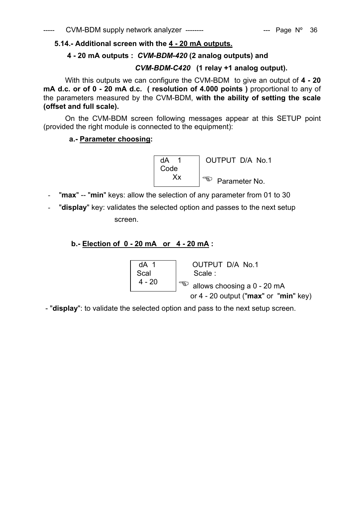# **5.14.- Additional screen with the 4 - 20 mA outputs.**

# **4 - 20 mA outputs :** *CVM-BDM-420* **(2 analog outputs) and**

# *CVM-BDM-C420* **(1 relay +1 analog output).**

With this outputs we can configure the CVM-BDM to give an output of **4 - 20 mA d.c. or of 0 - 20 mA d.c. ( resolution of 4.000 points )** proportional to any of the parameters measured by the CVM-BDM, **with the ability of setting the scale (offset and full scale).** 

On the CVM-BDM screen following messages appear at this SETUP point (provided the right module is connected to the equipment):

# **a.- Parameter choosing:**



- "max" -- "min" keys: allow the selection of any parameter from 01 to 30
- "**display**" key: validates the selected option and passes to the next setup screen.

# **b.- Election of 0 - 20 mA or 4 - 20 mA :**

 dA 1 OUTPUT D/A No.1 Scal | Scale : 4 - 20  $\int_{\infty}^{\infty}$  allows choosing a 0 - 20 mA or 4 - 20 output ("**max**" or "**min**" key)

- "**display**": to validate the selected option and pass to the next setup screen.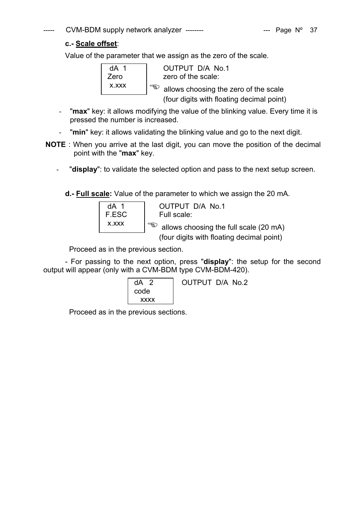# $CVM-BDM$  supply network analyzer --------  $\qquad \qquad$  --- Page N° 37

# **c.- Scale offset**:

Value of the parameter that we assign as the zero of the scale.

dA 1 OUTPUT D/A No.1 Zero | zero of the scale: x.xxx  $\left| \begin{array}{c} \text{as} \\ \text{as} \end{array} \right|$  allows choosing the zero of the scale (four digits with floating decimal point)

- "max" key: it allows modifying the value of the blinking value. Every time it is pressed the number is increased.
- "min" key: it allows validating the blinking value and go to the next digit.
- **NOTE** : When you arrive at the last digit, you can move the position of the decimal point with the "**max**" key.
	- "**display**": to validate the selected option and pass to the next setup screen.

**d.- Full scale:** Value of the parameter to which we assign the 20 mA.

| dA 1  |     |
|-------|-----|
| F.ESC |     |
| X XXX | ⊀ຊງ |
|       |     |

OUTPUT D/A No.1 Full scale:

allows choosing the full scale (20 mA)

(four digits with floating decimal point)

Proceed as in the previous section.

- For passing to the next option, press "**display**": the setup for the second output will appear (only with a CVM-BDM type CVM-BDM-420).

| $dA$ 2      | OUTPUT D/A No.2 |
|-------------|-----------------|
| code        |                 |
| <b>XXXX</b> |                 |

Proceed as in the previous sections.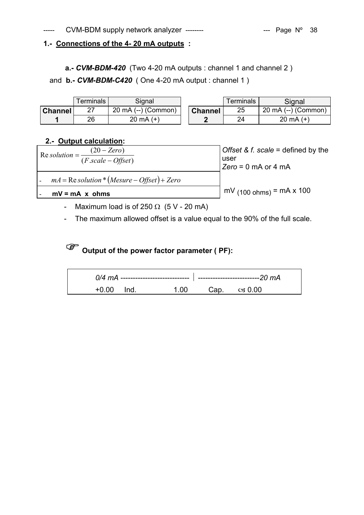# **1.- Connections of the 4- 20 mA outputs :**

**a.-** *CVM-BDM-420* (Two 4-20 mA outputs : channel 1 and channel 2)

and **b.-** *CVM-BDM-C420* ( One 4-20 mA output : channel 1 )

|                | Terminals | Signal                        |                | Terminals | Signal                        |
|----------------|-----------|-------------------------------|----------------|-----------|-------------------------------|
| <b>Channel</b> | ا ہے      | $20 \text{ mA}$ (--) (Common) | <b>Channel</b> | 25        | $20 \text{ mA}$ (--) (Common) |
|                | 26        | $20 \text{ mA} (+)$           |                | 24        | 20 mA $(+)$                   |

# **2.- Output calculation:**

| Offset & f. scale = defined by the<br>user<br>$Zero = 0$ mA or 4 mA |  |
|---------------------------------------------------------------------|--|
|                                                                     |  |
| $mV_{(100 ohms)} = mA \times 100$                                   |  |
|                                                                     |  |

- Maximum load is of 250  $\Omega$  (5 V 20 mA)
- The maximum allowed offset is a value equal to the 90% of the full scale.

# ) **Output of the power factor parameter ( PF):**

| +0.00 | lnd. | - 1. OO | Cap. $\cos 0.00$ |  |
|-------|------|---------|------------------|--|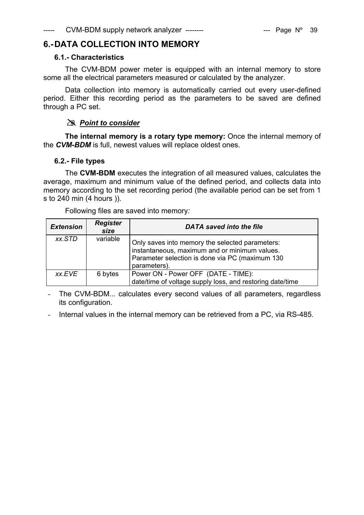# **6.- DATA COLLECTION INTO MEMORY**

# **6.1.- Characteristics**

The CVM-BDM power meter is equipped with an internal memory to store some all the electrical parameters measured or calculated by the analyzer.

Data collection into memory is automatically carried out every user-defined period. Either this recording period as the parameters to be saved are defined through a PC set.

# # *Point to consider*

**The internal memory is a rotary type memory:** Once the internal memory of the *CVM-BDM* is full, newest values will replace oldest ones.

# **6.2.- File types**

The **CVM-BDM** executes the integration of all measured values, calculates the average, maximum and minimum value of the defined period, and collects data into memory according to the set recording period (the available period can be set from 1 s to 240 min (4 hours )).

| <b>Extension</b> | <b>Register</b><br>size | <b>DATA</b> saved into the file                                                                                                                                     |
|------------------|-------------------------|---------------------------------------------------------------------------------------------------------------------------------------------------------------------|
| xx.STD           | variable                | Only saves into memory the selected parameters:<br>instantaneous, maximum and or minimum values.<br>Parameter selection is done via PC (maximum 130<br>parameters). |
| xx.EVE           | 6 bytes                 | Power ON - Power OFF (DATE - TIME):<br>date/time of voltage supply loss, and restoring date/time                                                                    |

Following files are saved into memory*:* 

The CVM-BDM... calculates every second values of all parameters, regardless its configuration.

Internal values in the internal memory can be retrieved from a PC, via RS-485.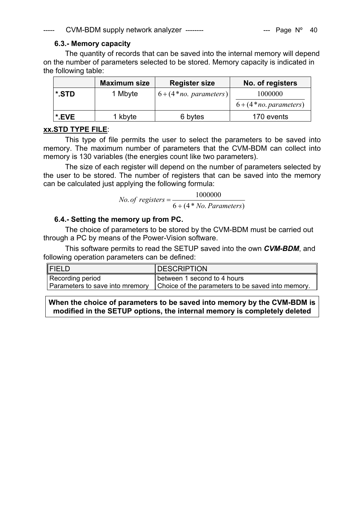# **6.3.- Memory capacity**

The quantity of records that can be saved into the internal memory will depend on the number of parameters selected to be stored. Memory capacity is indicated in the following table:

|       | <b>Maximum size</b> | <b>Register size</b>   | No. of registers       |
|-------|---------------------|------------------------|------------------------|
| *.STD | 1 Mbyte             | $6+(4*no. parameters)$ | 1000000                |
|       |                     |                        | $6+(4*no. parameters)$ |
| *.EVE | 1 kbyte             | 6 bytes                | 170 events             |

# **xx.STD TYPE FILE**:

This type of file permits the user to select the parameters to be saved into memory. The maximum number of parameters that the CVM-BDM can collect into memory is 130 variables (the energies count like two parameters).

The size of each register will depend on the number of parameters selected by the user to be stored. The number of registers that can be saved into the memory can be calculated just applying the following formula:

 $60.$  *No. of*  $registers = \frac{1000000}{6 + (4*No. Parameters)}$ 

# **6.4.- Setting the memory up from PC.**

The choice of parameters to be stored by the CVM-BDM must be carried out through a PC by means of the Power-Vision software.

This software permits to read the SETUP saved into the own *CVM-BDM*, and following operation parameters can be defined:

| <b>FIELD</b>     | <b>DESCRIPTION</b>                                                                |
|------------------|-----------------------------------------------------------------------------------|
| Recording period | between 1 second to 4 hours                                                       |
|                  | Parameters to save into mremory Choice of the parameters to be saved into memory. |

**When the choice of parameters to be saved into memory by the CVM-BDM is modified in the SETUP options, the internal memory is completely deleted**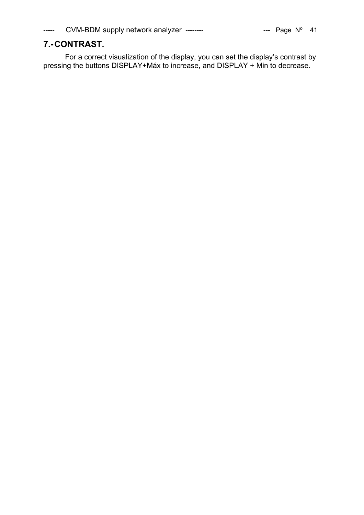# **7.- CONTRAST.**

For a correct visualization of the display, you can set the display's contrast by pressing the buttons DISPLAY+Máx to increase, and DISPLAY + Min to decrease.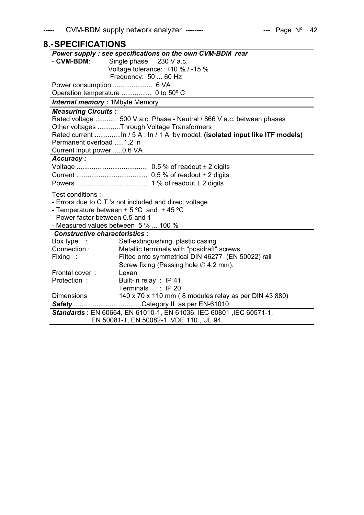|  | Page N° |  | 42 |
|--|---------|--|----|
|--|---------|--|----|

| <b>8.-SPECIFICATIONS</b>              |                                                                       |
|---------------------------------------|-----------------------------------------------------------------------|
|                                       | Power supply: see specifications on the own CVM-BDM rear              |
| - CVM-BDM:                            | Single phase<br>230 V a.c.                                            |
|                                       | Voltage tolerance: +10 % / -15 %                                      |
|                                       | Frequency: 50  60 Hz                                                  |
|                                       |                                                                       |
|                                       |                                                                       |
| <b>Internal memory: 1Mbyte Memory</b> |                                                                       |
| <b>Measuring Circuits:</b>            |                                                                       |
|                                       | Rated voltage  500 V a.c. Phase - Neutral / 866 V a.c. between phases |
|                                       | Other voltages Through Voltage Transformers                           |
|                                       |                                                                       |
| Permanent overload 1.2 In             |                                                                       |
| Current input power 0.6 VA            |                                                                       |
| <b>Accuracy:</b>                      |                                                                       |
|                                       |                                                                       |
|                                       |                                                                       |
|                                       |                                                                       |
| Test conditions:                      |                                                                       |
|                                       | - Errors due to C.T.'s not included and direct voltage                |
|                                       | - Temperature between $+5$ °C and $+45$ °C                            |
| - Power factor between 0.5 and 1      |                                                                       |
|                                       | - Measured values between 5 %  100 %                                  |
| <b>Constructive characteristics:</b>  |                                                                       |
| Box type                              | Self-extinguishing, plastic casing                                    |
| Connection:                           | Metallic terminals with "posidraft" screws                            |
| Fixing :                              | Fitted onto symmetrical DIN 46277 (EN 50022) rail                     |
|                                       | Screw fixing (Passing hole $\varnothing$ 4,2 mm).                     |
| Frontal cover:                        | Lexan                                                                 |
| Protection:                           | Built-in relay : IP 41                                                |
|                                       | Terminals : IP 20                                                     |
| <b>Dimensions</b>                     | 140 x 70 x 110 mm (8 modules relay as per DIN 43 880)                 |
|                                       |                                                                       |
|                                       | Standards: EN 60664, EN 61010-1, EN 61036, IEC 60801, IEC 60571-1,    |
|                                       | EN 50081-1, EN 50082-1, VDE 110, UL 94                                |
|                                       |                                                                       |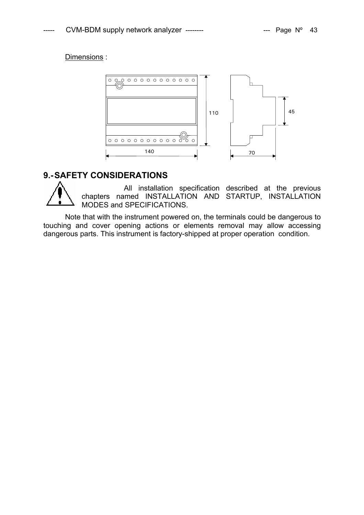# Dimensions :



# **9.- SAFETY CONSIDERATIONS**

All installation specification described at the previous chapters named INSTALLATION AND STARTUP, INSTALLATION MODES and SPECIFICATIONS.

Note that with the instrument powered on, the terminals could be dangerous to touching and cover opening actions or elements removal may allow accessing dangerous parts. This instrument is factory-shipped at proper operation condition.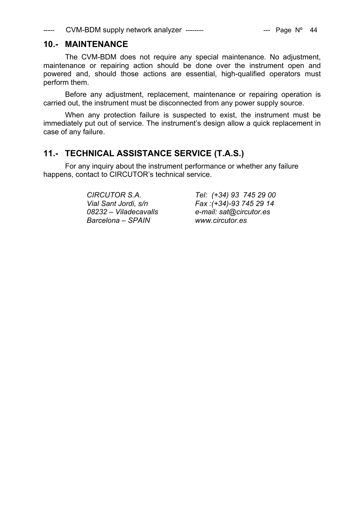# **10.- MAINTENANCE**

The CVM-BDM does not require any special maintenance. No adjustment, maintenance or repairing action should be done over the instrument open and powered and, should those actions are essential, high-qualified operators must perform them.

Before any adjustment, replacement, maintenance or repairing operation is carried out, the instrument must be disconnected from any power supply source.

When any protection failure is suspected to exist, the instrument must be immediately put out of service. The instrument's design allow a quick replacement in case of any failure.

# **11.- TECHNICAL ASSISTANCE SERVICE (T.A.S.)**

For any inquiry about the instrument performance or whether any failure happens, contact to CIRCUTOR's technical service.

*Barcelona – SPAIN www.circutor.es* 

*CIRCUTOR S.A. Tel: (+34) 93 745 29 00 Vial Sant Jordi, s/n Fax :(+34)-93 745 29 14 08232 – Viladecavalls e-mail: sat@circutor.es*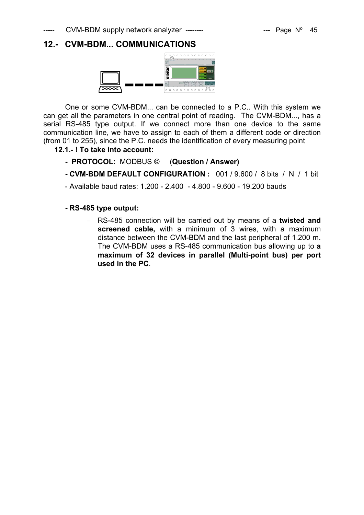# **12.- CVM-BDM... COMMUNICATIONS**



One or some CVM-BDM... can be connected to a P.C.. With this system we can get all the parameters in one central point of reading. The CVM-BDM..., has a serial RS-485 type output. If we connect more than one device to the same communication line, we have to assign to each of them a different code or direction (from 01 to 255), since the P.C. needs the identification of every measuring point

**12.1.- ! To take into account:** 

- **PROTOCOL:** MODBUS © (**Question / Answer)**
- **CVM-BDM DEFAULT CONFIGURATION :** 001 / 9.600 / 8 bits / N / 1 bit
- Available baud rates: 1.200 2.400 4.800 9.600 19.200 bauds

# **- RS-485 type output:**

− RS-485 connection will be carried out by means of a **twisted and screened cable,** with a minimum of 3 wires, with a maximum distance between the CVM-BDM and the last peripheral of 1.200 m. The CVM-BDM uses a RS-485 communication bus allowing up to **a maximum of 32 devices in parallel (Multi-point bus) per port used in the PC**.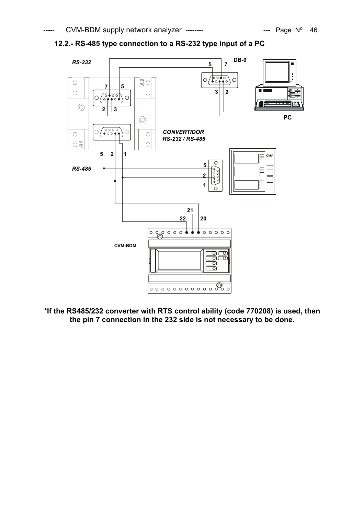



**\*If the RS485/232 converter with RTS control ability (code 770208) is used, then the pin 7 connection in the 232 side is not necessary to be done.**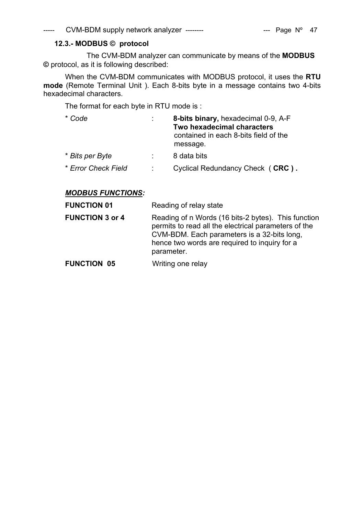# **12.3.- MODBUS © protocol**

 The CVM-BDM analyzer can communicate by means of the **MODBUS ©** protocol, as it is following described:

When the CVM-BDM communicates with MODBUS protocol, it uses the **RTU mode** (Remote Terminal Unit ). Each 8-bits byte in a message contains two 4-bits hexadecimal characters.

The format for each byte in RTU mode is :

| * Code              | 8-bits binary, hexadecimal 0-9, A-F                                             |
|---------------------|---------------------------------------------------------------------------------|
|                     | Two hexadecimal characters<br>contained in each 8-bits field of the<br>message. |
| * Bits per Byte     | 8 data bits                                                                     |
| * Error Check Field | Cyclical Redundancy Check (CRC).                                                |

# *MODBUS FUNCTIONS:*

**FUNCTION 01** Reading of relay state

| <b>FUNCTION 3 or 4</b> | Reading of n Words (16 bits-2 bytes). This function  |
|------------------------|------------------------------------------------------|
|                        | permits to read all the electrical parameters of the |
|                        | CVM-BDM. Each parameters is a 32-bits long,          |
|                        | hence two words are required to inquiry for a        |
|                        | parameter.                                           |
|                        |                                                      |

**FUNCTION 05** Writing one relay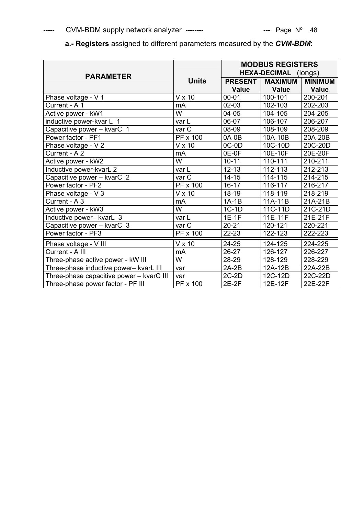| <b>PARAMETER</b>                         |                 |                | <b>MODBUS REGISTERS</b><br>HEXA-DECIMAL (longs) |                |  |  |
|------------------------------------------|-----------------|----------------|-------------------------------------------------|----------------|--|--|
|                                          | <b>Units</b>    | <b>PRESENT</b> | <b>MAXIMUM</b>                                  | <b>MINIMUM</b> |  |  |
|                                          |                 | <b>Value</b>   | <b>Value</b>                                    | <b>Value</b>   |  |  |
| Phase voltage - V 1                      | $V \times 10$   | $00 - 01$      | 100-101                                         | 200-201        |  |  |
| Current - A 1                            | mA              | $02 - 03$      | 102-103                                         | 202-203        |  |  |
| Active power - kW1                       | W               | $04 - 05$      | 104-105                                         | 204-205        |  |  |
| inductive power-kvar L 1                 | var L           | 06-07          | 106-107                                         | 206-207        |  |  |
| Capacitive power - kvarC 1               | var C           | 08-09          | 108-109                                         | 208-209        |  |  |
| Power factor - PF1                       | <b>PF x 100</b> | 0A-0B          | 10A-10B                                         | 20A-20B        |  |  |
| Phase voltage - V 2                      | $V \times 10$   | $OC-OD$        | 10C-10D                                         | 20C-20D        |  |  |
| Current - A 2                            | mA              | 0E-0F          | 10E-10F                                         | 20E-20F        |  |  |
| Active power - kW2                       | W               | $10 - 11$      | 110-111                                         | 210-211        |  |  |
| Inductive power-kvarL 2                  | var L           | $12 - 13$      | 112-113                                         | 212-213        |  |  |
| Capacitive power - kvarC 2               | var C           | $14 - 15$      | 114-115                                         | 214-215        |  |  |
| Power factor - PF2                       | PF x 100        | $16 - 17$      | 116-117                                         | 216-217        |  |  |
| Phase voltage - V 3                      | $V \times 10$   | 18-19          | 118-119                                         | 218-219        |  |  |
| Current - A 3                            | mA              | $1A-1B$        | 11A-11B                                         | 21A-21B        |  |  |
| Active power - kW3                       | W               | $1C-1D$        | 11C-11D                                         | 21C-21D        |  |  |
| Inductive power- kvarL 3                 | var L           | $1E-1F$        | 11E-11F                                         | 21E-21F        |  |  |
| Capacitive power - kvarC 3               | var C           | $20 - 21$      | 120-121                                         | 220-221        |  |  |
| Power factor - PF3                       | PF x 100        | 22-23          | 122-123                                         | 222-223        |  |  |
| Phase voltage - V III                    | $V \times 10$   | 24-25          | 124-125                                         | 224-225        |  |  |
| Current - A III                          | mA              | $26 - 27$      | 126-127                                         | 226-227        |  |  |
| Three-phase active power - kW III        | W               | 28-29          | 128-129                                         | 228-229        |  |  |
| Three-phase inductive power- kvarL III   | var             | $2A-2B$        | 12A-12B                                         | 22A-22B        |  |  |
| Three-phase capacitive power - kvarC III | var             | $2C-2D$        | 12C-12D                                         | 22C-22D        |  |  |
| Three-phase power factor - PF III        | PF x 100        | $2E-2F$        | 12E-12F                                         | 22E-22F        |  |  |

**a.- Registers** assigned to different parameters measured by the *CVM-BDM*: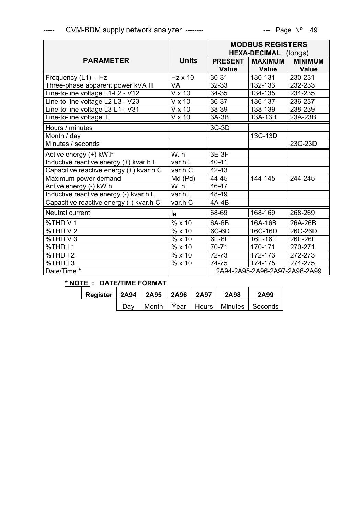|                                         |                |                | <b>MODBUS REGISTERS</b>       |                |
|-----------------------------------------|----------------|----------------|-------------------------------|----------------|
|                                         |                |                | <b>HEXA-DECIMAL</b>           | (longs)        |
| <b>PARAMETER</b>                        | <b>Units</b>   | <b>PRESENT</b> | <b>MAXIMUM</b>                | <b>MINIMUM</b> |
|                                         |                | <b>Value</b>   | <b>Value</b>                  | <b>Value</b>   |
| Frequency (L1) - Hz                     | $Hz \times 10$ | $30 - 31$      | 130-131                       | 230-231        |
| Three-phase apparent power kVA III      | <b>VA</b>      | 32-33          | 132-133                       | 232-233        |
| Line-to-line voltage L1-L2 - V12        | V x 10         | $34 - 35$      | 134-135                       | 234-235        |
| Line-to-line voltage L2-L3 - V23        | V x 10         | 36-37          | 136-137                       | 236-237        |
| Line-to-line voltage L3-L1 - V31        | V x 10         | 38-39          | 138-139                       | 238-239        |
| Line-to-line voltage III                | $V \times 10$  | $3A-3B$        | 13A-13B                       | 23A-23B        |
| Hours / minutes                         |                | $3C-3D$        |                               |                |
| Month / day                             |                |                | 13C-13D                       |                |
| Minutes / seconds                       |                |                |                               | 23C-23D        |
| Active energy (+) kW.h                  | W.h            | 3E-3F          |                               |                |
| Inductive reactive energy (+) kvar.h L  | var.h L        | $40 - 41$      |                               |                |
| Capacitive reactive energy (+) kvar.h C | var.h C        | 42-43          |                               |                |
| Maximum power demand                    | Md (Pd)        | 44-45          | 144-145                       | 244-245        |
| Active energy (-) kW.h                  | W.h            | 46-47          |                               |                |
| Inductive reactive energy (-) kvar.h L  | var.h L        | 48-49          |                               |                |
| Capacitive reactive energy (-) kvar.h C | var.h C        | 4A-4B          |                               |                |
| Neutral current                         | $I_N$          | 68-69          | 168-169                       | 268-269        |
| %THD V1                                 | % x 10         | 6A-6B          | 16A-16B                       | 26A-26B        |
| %THD V2                                 | %x10           | 6C-6D          | 16C-16D                       | 26C-26D        |
| %THD V3                                 | % x 10         | 6E-6F          | 16E-16F                       | 26E-26F        |
| %THD I1                                 | % x 10         | 70-71          | 170-171                       | 270-271        |
| %THD I2                                 | % x10          | 72-73          | 172-173                       | 272-273        |
| %THD I3                                 | % x10          | 74-75          | 174-175                       | 274-275        |
| Date/Time *                             |                |                | 2A94-2A95-2A96-2A97-2A98-2A99 |                |

# **\* NOTE : DATE/TIME FORMAT**

| Register   2A94   2A95   2A96   2A97 |     |  | 2A98 | 2A99                                     |
|--------------------------------------|-----|--|------|------------------------------------------|
|                                      | Dav |  |      | Month   Year   Hours   Minutes   Seconds |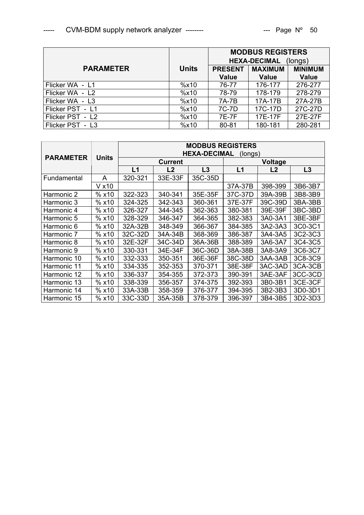|                  |              | <b>MODBUS REGISTERS</b> |                     |                |
|------------------|--------------|-------------------------|---------------------|----------------|
|                  |              |                         | <b>HEXA-DECIMAL</b> | (longs)        |
| <b>PARAMETER</b> | <b>Units</b> | <b>PRESENT</b>          | <b>MAXIMUM</b>      | <b>MINIMUM</b> |
|                  |              | <b>Value</b>            | <b>Value</b>        | <b>Value</b>   |
| Flicker WA - L1  | %x10         | 76-77                   | 176-177             | 276-277        |
| Flicker WA - L2  | %x10         | 78-79                   | 178-179             | 278-279        |
| Flicker WA - L3  | %x10         | 7A-7B                   | 17A-17B             | 27A-27B        |
| Flicker PST - L1 | %x10         | 7C-7D                   | 17C-17D             | 27C-27D        |
| Flicker PST - L2 | %x10         | 7E-7F                   | 17E-17F             | 27E-27F        |
| Flicker PST - L3 | %x10         | 80-81                   | 180-181             | 280-281        |

|                  |        | <b>MODBUS REGISTERS</b><br><b>HEXA-DECIMAL</b><br>(longs) |                |         |         |                |         |
|------------------|--------|-----------------------------------------------------------|----------------|---------|---------|----------------|---------|
| <b>PARAMETER</b> | Units  |                                                           | <b>Current</b> |         |         | <b>Voltage</b> |         |
|                  |        | L1                                                        | L2             | L3      | L1      | L <sub>2</sub> | L3      |
| Fundamental      | A      | 320-321                                                   | 33E-33F        | 35C-35D |         |                |         |
|                  | V x 10 |                                                           |                |         | 37A-37B | 398-399        | 3B6-3B7 |
| Harmonic 2       | % x10  | 322-323                                                   | 340-341        | 35E-35F | 37C-37D | 39A-39B        | 3B8-3B9 |
| Harmonic 3       | % x10  | 324-325                                                   | 342-343        | 360-361 | 37E-37F | 39C-39D        | 3BA-3BB |
| Harmonic 4       | % x10  | 326-327                                                   | 344-345        | 362-363 | 380-381 | 39E-39F        | 3BC-3BD |
| Harmonic 5       | % x10  | 328-329                                                   | 346-347        | 364-365 | 382-383 | 3A0-3A1        | 3BE-3BF |
| Harmonic 6       | % x10  | 32A-32B                                                   | 348-349        | 366-367 | 384-385 | 3A2-3A3        | 3C0-3C1 |
| Harmonic 7       | % x10  | 32C-32D                                                   | 34A-34B        | 368-369 | 386-387 | 3A4-3A5        | 3C2-3C3 |
| Harmonic 8       | % x10  | 32E-32F                                                   | 34C-34D        | 36A-36B | 388-389 | 3A6-3A7        | 3C4-3C5 |
| Harmonic 9       | % x10  | 330-331                                                   | 34E-34F        | 36C-36D | 38A-38B | 3A8-3A9        | 3C6-3C7 |
| Harmonic 10      | % x10  | 332-333                                                   | 350-351        | 36E-36F | 38C-38D | 3AA-3AB        | 3C8-3C9 |
| Harmonic 11      | % x10  | 334-335                                                   | 352-353        | 370-371 | 38E-38F | 3AC-3AD        | 3CA-3CB |
| Harmonic 12      | % x10  | 336-337                                                   | 354-355        | 372-373 | 390-391 | 3AE-3AF        | 3CC-3CD |
| Harmonic 13      | % x10  | 338-339                                                   | 356-357        | 374-375 | 392-393 | 3B0-3B1        | 3CE-3CF |
| Harmonic 14      | % x10  | 33A-33B                                                   | 358-359        | 376-377 | 394-395 | 3B2-3B3        | 3D0-3D1 |
| Harmonic 15      | % x10  | 33C-33D                                                   | 35A-35B        | 378-379 | 396-397 | 3B4-3B5        | 3D2-3D3 |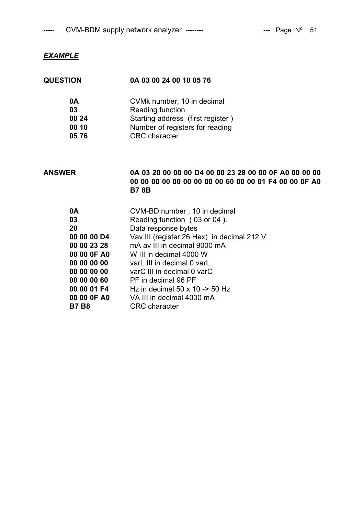# *EXAMPLE*

| <b>QUESTION</b> | 0A 03 00 24 00 10 05 76           |
|-----------------|-----------------------------------|
| 0A              | CVMk number, 10 in decimal        |
| 03              | Reading function                  |
| 00 24           | Starting address (first register) |
| 00 10           | Number of registers for reading   |
| 0576            | <b>CRC</b> character              |

# **ANSWER 0A 03 20 00 00 00 D4 00 00 23 28 00 00 0F A0 00 00 00 00 00 00 00 00 00 00 00 00 60 00 00 01 F4 00 00 0F A0 B7 8B**

| 0A          | CVM-BD number, 10 in decimal                   |
|-------------|------------------------------------------------|
| 03          | Reading function (03 or 04).                   |
| 20          | Data response bytes                            |
| 00 00 00 D4 | Vav III (register 26 Hex) in decimal 212 V     |
| 00 00 23 28 | mA av III in decimal 9000 mA                   |
| 00 00 OF A0 | W III in decimal 4000 W                        |
| 00 00 00 00 | varL III in decimal 0 varL                     |
| 00 00 00 00 | varC III in decimal 0 varC                     |
| 00 00 00 60 | PF in decimal 96 PF                            |
| 00 00 01 F4 | Hz in decimal $50 \times 10 \rightarrow 50$ Hz |
| 00 00 0F A0 | VA III in decimal 4000 mA                      |
| B7 B8       | <b>CRC</b> character                           |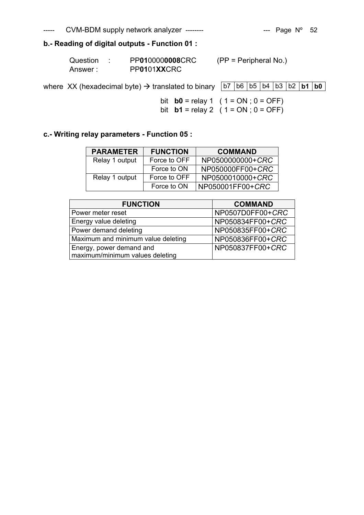# **b.- Reading of digital outputs - Function 01 :**

| Question | PP0100000008CRC | $(PP = Peripheral No.)$ |
|----------|-----------------|-------------------------|
| Answer:  | PP0101XXCRC     |                         |

where XX (hexadecimal byte)  $\rightarrow$  translated to binary  $\sqrt{b7}$  b6  $\sqrt{b5}$  b4  $\sqrt{b3}$  b2 **b1** b0

bit **b0** = relay 1 (  $1 = ON$  ;  $0 = OFF$ ) bit **b1** = relay 2 (  $1 = ON$  ;  $0 = OFF$ )

# **c.- Writing relay parameters - Function 05 :**

| <b>PARAMETER</b> | <b>FUNCTION</b> | <b>COMMAND</b>   |
|------------------|-----------------|------------------|
| Relay 1 output   | Force to OFF    | NP0500000000+CRC |
|                  | Force to ON     | NP050000FF00+CRC |
| Relay 1 output   | Force to OFF    | NP0500010000+CRC |
|                  | Force to ON     | NP050001FF00+CRC |

| <b>FUNCTION</b>                    | <b>COMMAND</b>   |
|------------------------------------|------------------|
| Power meter reset                  | NP0507D0FF00+CRC |
| Energy value deleting              | NP050834FF00+CRC |
| Power demand deleting              | NP050835FF00+CRC |
| Maximum and minimum value deleting | NP050836FF00+CRC |
| Energy, power demand and           | NP050837FF00+CRC |
| maximum/minimum values deleting    |                  |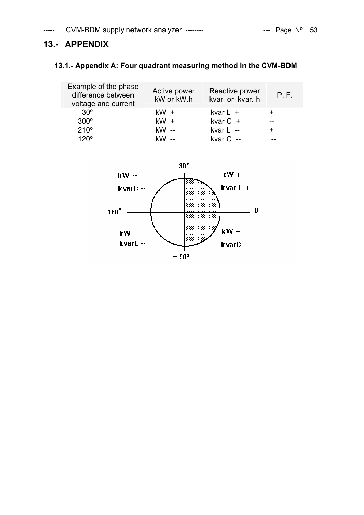# **13.- APPENDIX**

# **13.1.- Appendix A: Four quadrant measuring method in the CVM-BDM**

| Example of the phase<br>difference between<br>voltage and current | Active power<br>kW or kW.h | Reactive power<br>kvar or kvar. h | P.F. |
|-------------------------------------------------------------------|----------------------------|-----------------------------------|------|
| $30^\circ$                                                        | $kW +$                     | kvar $L +$                        |      |
| $300^\circ$                                                       | $kW +$                     | kvar $C +$                        |      |
| 210°                                                              | $kW -$                     | kvar L --                         |      |
| 120°                                                              |                            | kvar $C -$                        |      |

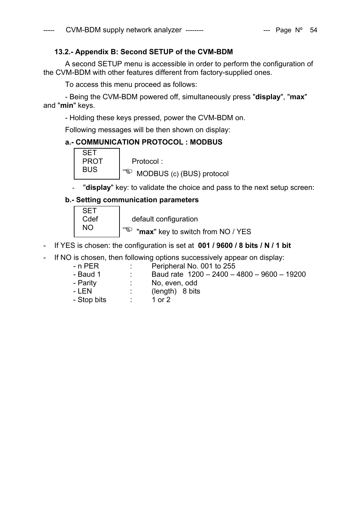# **13.2.- Appendix B: Second SETUP of the CVM-BDM**

A second SETUP menu is accessible in order to perform the configuration of the CVM-BDM with other features different from factory-supplied ones.

To access this menu proceed as follows:

- Being the CVM-BDM powered off, simultaneously press "**display**", "**max**" and "**min**" keys.

- Holding these keys pressed, power the CVM-BDM on.

Following messages will be then shown on display:

# **a.- COMMUNICATION PROTOCOL : MODBUS**

| PROT | Protocol:                       |
|------|---------------------------------|
| BUS  | ాఖ<br>MODBUS (c) (BUS) protocol |

"display" key: to validate the choice and pass to the next setup screen:

# **b.- Setting communication parameters**

| Cdef | default configuration                      |
|------|--------------------------------------------|
|      | ార్తు<br>"max" key to switch from NO / YES |

- If YES is chosen: the configuration is set at **001 / 9600 / 8 bits / N / 1 bit**
- If NO is chosen, then following options successively appear on display:
	-
	- n PER : Peripheral No. 001 to 255<br>- Baud 1 : Baud rate 1200 2400 - Baud 1 : Baud rate 1200 – 2400 – 4800 – 9600 – 19200<br>- Parity : No, even, odd
		- No, even, odd
	- LEN : (length) 8 bits
	- Stop bits : 1 or 2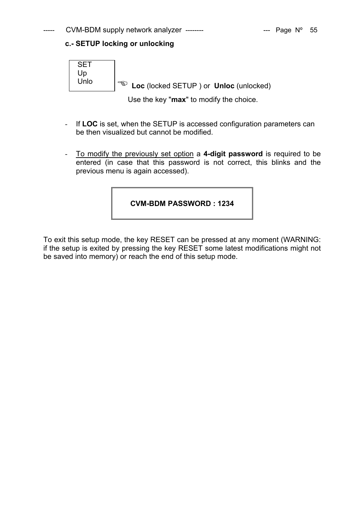# **c.- SETUP locking or unlocking**



Use the key "**max**" to modify the choice.

- If **LOC** is set, when the SETUP is accessed configuration parameters can be then visualized but cannot be modified.
- To modify the previously set option a **4-digit password** is required to be entered (in case that this password is not correct, this blinks and the previous menu is again accessed).

# **CVM-BDM PASSWORD : 1234**

To exit this setup mode, the key RESET can be pressed at any moment (WARNING: if the setup is exited by pressing the key RESET some latest modifications might not be saved into memory) or reach the end of this setup mode.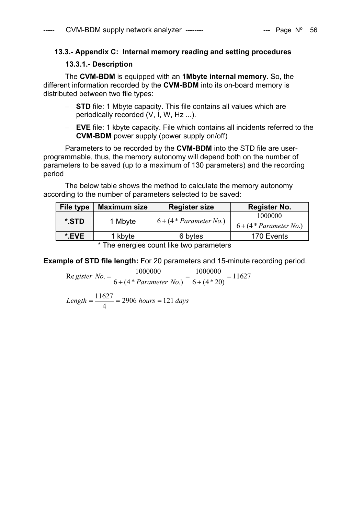# **13.3.- Appendix C: Internal memory reading and setting procedures**

# **13.3.1.- Description**

The **CVM-BDM** is equipped with an **1Mbyte internal memory**. So, the different information recorded by the **CVM-BDM** into its on-board memory is distributed between two file types:

- − **STD** file: 1 Mbyte capacity. This file contains all values which are periodically recorded (V, I, W, Hz ...).
- − **EVE** file: 1 kbyte capacity. File which contains all incidents referred to the **CVM-BDM** power supply (power supply on/off)

Parameters to be recorded by the **CVM-BDM** into the STD file are userprogrammable, thus, the memory autonomy will depend both on the number of parameters to be saved (up to a maximum of 130 parameters) and the recording period

The below table shows the method to calculate the memory autonomy according to the number of parameters selected to be saved:

| File type | <b>Maximum size</b> | <b>Register size</b>      | <b>Register No.</b>                  |
|-----------|---------------------|---------------------------|--------------------------------------|
| *.STD     | 1 Mbyte             | $6 + (4 * Parameter No.)$ | 1000000<br>$6 + (4 * Parameter No.)$ |
| *.EVE     | 1 kbyte             | 6 bytes                   | 170 Events                           |
|           |                     |                           |                                      |

\* The energies count like two parameters

**Example of STD file length:** For 20 parameters and 15-minute recording period.

$$
Re\,gister\,No. = \frac{1000000}{6 + (4 * Parameter\,No.)} = \frac{1000000}{6 + (4 * 20)} = 11627
$$

 $Length = \frac{11627}{4} = 2906 \; hours = 121 \; days$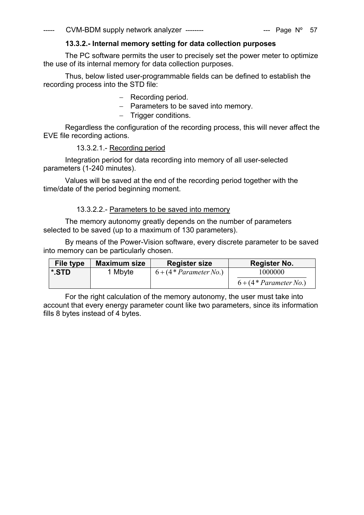# **13.3.2.- Internal memory setting for data collection purposes**

 The PC software permits the user to precisely set the power meter to optimize the use of its internal memory for data collection purposes.

Thus, below listed user-programmable fields can be defined to establish the recording process into the STD file:

- − Recording period.
- − Parameters to be saved into memory.
- − Trigger conditions.

Regardless the configuration of the recording process, this will never affect the EVE file recording actions.

# 13.3.2.1.- Recording period

Integration period for data recording into memory of all user-selected parameters (1-240 minutes).

Values will be saved at the end of the recording period together with the time/date of the period beginning moment.

# 13.3.2.2.- Parameters to be saved into memory

The memory autonomy greatly depends on the number of parameters selected to be saved (up to a maximum of 130 parameters).

By means of the Power-Vision software, every discrete parameter to be saved into memory can be particularly chosen.

| File type | <b>Maximum size</b> | <b>Register size</b>      | Register No.              |
|-----------|---------------------|---------------------------|---------------------------|
| *.STD     | 1 Mbyte             | $6 + (4 * Parameter No.)$ | 1000000                   |
|           |                     |                           | $6 + (4 * Parameter No.)$ |

For the right calculation of the memory autonomy, the user must take into account that every energy parameter count like two parameters, since its information fills 8 bytes instead of 4 bytes.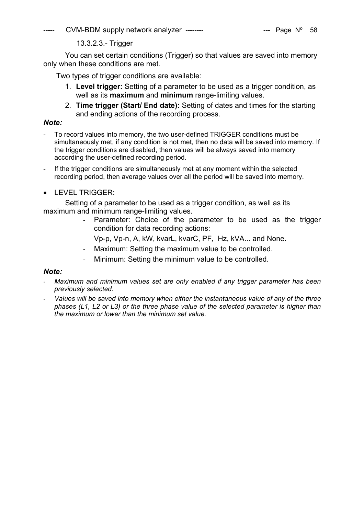$CVM-BDM$  supply network analyzer --------  $\qquad \qquad$  --- Page N° 58

13.3.2.3.- Trigger

You can set certain conditions (Trigger) so that values are saved into memory only when these conditions are met.

Two types of trigger conditions are available:

- 1. **Level trigger:** Setting of a parameter to be used as a trigger condition, as well as its **maximum** and **minimum** range-limiting values.
- 2. **Time trigger (Start/ End date):** Setting of dates and times for the starting and ending actions of the recording process.

# *Note:*

- To record values into memory, the two user-defined TRIGGER conditions must be simultaneously met, if any condition is not met, then no data will be saved into memory. If the trigger conditions are disabled, then values will be always saved into memory according the user-defined recording period.
- If the trigger conditions are simultaneously met at any moment within the selected recording period, then average values over all the period will be saved into memory.
- LEVEL TRIGGER

Setting of a parameter to be used as a trigger condition, as well as its maximum and minimum range-limiting values.

> Parameter: Choice of the parameter to be used as the trigger condition for data recording actions:

Vp-p, Vp-n, A, kW, kvarL, kvarC, PF, Hz, kVA... and None.

- Maximum: Setting the maximum value to be controlled.
- Minimum: Setting the minimum value to be controlled.

# *Note:*

- Maximum and minimum values set are only enabled if any trigger parameter has been *previously selected.*
- *Values will be saved into memory when either the instantaneous value of any of the three phases (L1, L2 or L3) or the three phase value of the selected parameter is higher than the maximum or lower than the minimum set value.*